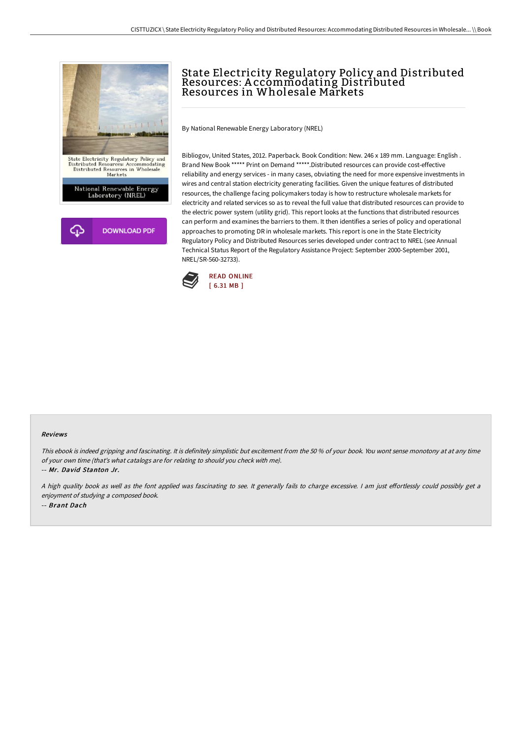

# State Electricity Regulatory Policy and Distributed Resources: A ccommodating Distributed Resources in Wholesale Markets

By National Renewable Energy Laboratory (NREL)

Bibliogov, United States, 2012. Paperback. Book Condition: New. 246 x 189 mm. Language: English . Brand New Book \*\*\*\*\* Print on Demand \*\*\*\*\*.Distributed resources can provide cost-effective reliability and energy services - in many cases, obviating the need for more expensive investments in wires and central station electricity generating facilities. Given the unique features of distributed resources, the challenge facing policymakers today is how to restructure wholesale markets for electricity and related services so as to reveal the full value that distributed resources can provide to the electric power system (utility grid). This report looks at the functions that distributed resources can perform and examines the barriers to them. It then identifies a series of policy and operational approaches to promoting DR in wholesale markets. This report is one in the State Electricity Regulatory Policy and Distributed Resources series developed under contract to NREL (see Annual Technical Status Report of the Regulatory Assistance Project: September 2000-September 2001, NREL/SR-560-32733).



#### Reviews

This ebook is indeed gripping and fascinating. It is definitely simplistic but excitement from the <sup>50</sup> % of your book. You wont sense monotony at at any time of your own time (that's what catalogs are for relating to should you check with me).

-- Mr. David Stanton Jr.

A high quality book as well as the font applied was fascinating to see. It generally fails to charge excessive. I am just effortlessly could possibly get a enjoyment of studying <sup>a</sup> composed book. -- Brant Dach